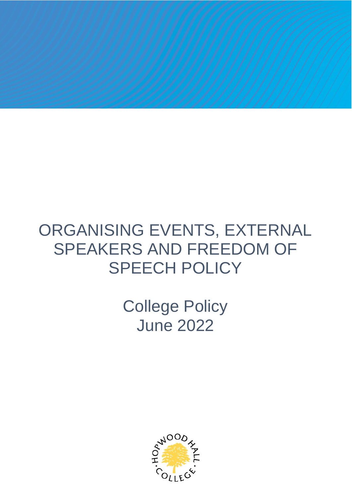## ORGANISING EVENTS, EXTERNAL SPEAKERS AND FREEDOM OF SPEECH POLICY

College Policy June 2022

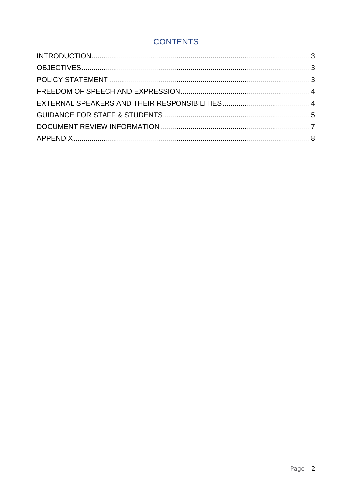#### **CONTENTS**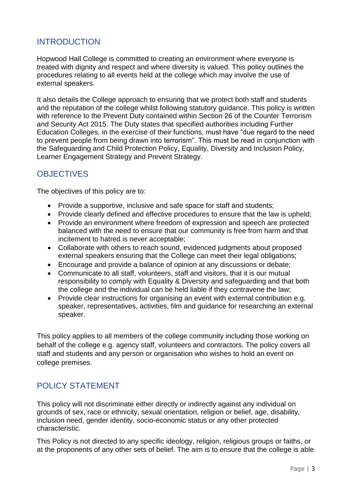#### <span id="page-2-0"></span>INTRODUCTION

Hopwood Hall College is committed to creating an environment where everyone is treated with dignity and respect and where diversity is valued. This policy outlines the procedures relating to all events held at the college which may involve the use of external speakers.

It also details the College approach to ensuring that we protect both staff and students and the reputation of the college whilst following statutory guidance. This policy is written with reference to the Prevent Duty contained within Section 26 of the Counter Terrorism and Security Act 2015. The Duty states that specified authorities including Further Education Colleges, in the exercise of their functions, must have "due regard to the need to prevent people from being drawn into terrorism". This must be read in conjunction with the Safeguarding and Child Protection Policy, Equality, Diversity and Inclusion Policy, Learner Engagement Strategy and Prevent Strategy.

#### <span id="page-2-1"></span>**OBJECTIVES**

The objectives of this policy are to:

- Provide a supportive, inclusive and safe space for staff and students;
- Provide clearly defined and effective procedures to ensure that the law is upheld:
- Provide an environment where freedom of expression and speech are protected balanced with the need to ensure that our community is free from harm and that incitement to hatred is never acceptable;
- Collaborate with others to reach sound, evidenced judgments about proposed external speakers ensuring that the College can meet their legal obligations;
- Encourage and provide a balance of opinion at any discussions or debate;
- Communicate to all staff, volunteers, staff and visitors, that it is our mutual responsibility to comply with Equality & Diversity and safeguarding and that both the college and the individual can be held liable if they contravene the law;
- Provide clear instructions for organising an event with external contribution e.g. speaker, representatives, activities, film and guidance for researching an external speaker.

This policy applies to all members of the college community including those working on behalf of the college e.g. agency staff, volunteers and contractors. The policy covers all staff and students and any person or organisation who wishes to hold an event on college premises.

#### <span id="page-2-2"></span>POLICY STATEMENT

This policy will not discriminate either directly or indirectly against any individual on grounds of sex, race or ethnicity, sexual orientation, religion or belief, age, disability, inclusion need, gender identity, socio-economic status or any other protected characteristic.

This Policy is not directed to any specific ideology, religion, religious groups or faiths, or at the proponents of any other sets of belief. The aim is to ensure that the college is able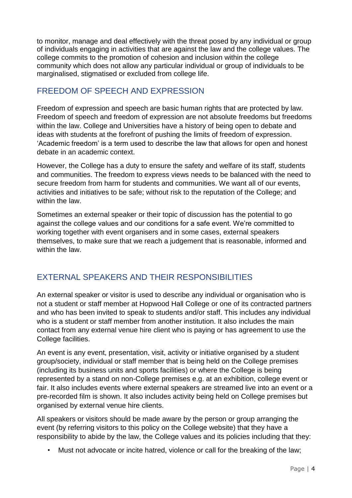to monitor, manage and deal effectively with the threat posed by any individual or group of individuals engaging in activities that are against the law and the college values. The college commits to the promotion of cohesion and inclusion within the college community which does not allow any particular individual or group of individuals to be marginalised, stigmatised or excluded from college life.

### <span id="page-3-0"></span>FREEDOM OF SPEECH AND EXPRESSION

Freedom of expression and speech are basic human rights that are protected by law. Freedom of speech and freedom of expression are not absolute freedoms but freedoms within the law. College and Universities have a history of being open to debate and ideas with students at the forefront of pushing the limits of freedom of expression. 'Academic freedom' is a term used to describe the law that allows for open and honest debate in an academic context.

However, the College has a duty to ensure the safety and welfare of its staff, students and communities. The freedom to express views needs to be balanced with the need to secure freedom from harm for students and communities. We want all of our events, activities and initiatives to be safe; without risk to the reputation of the College; and within the law.

Sometimes an external speaker or their topic of discussion has the potential to go against the college values and our conditions for a safe event. We're committed to working together with event organisers and in some cases, external speakers themselves, to make sure that we reach a judgement that is reasonable, informed and within the law.

### <span id="page-3-1"></span>EXTERNAL SPEAKERS AND THEIR RESPONSIBILITIES

An external speaker or visitor is used to describe any individual or organisation who is not a student or staff member at Hopwood Hall College or one of its contracted partners and who has been invited to speak to students and/or staff. This includes any individual who is a student or staff member from another institution. It also includes the main contact from any external venue hire client who is paying or has agreement to use the College facilities.

An event is any event, presentation, visit, activity or initiative organised by a student group/society, individual or staff member that is being held on the College premises (including its business units and sports facilities) or where the College is being represented by a stand on non-College premises e.g. at an exhibition, college event or fair. It also includes events where external speakers are streamed live into an event or a pre-recorded film is shown. It also includes activity being held on College premises but organised by external venue hire clients.

All speakers or visitors should be made aware by the person or group arranging the event (by referring visitors to this policy on the College website) that they have a responsibility to abide by the law, the College values and its policies including that they:

Must not advocate or incite hatred, violence or call for the breaking of the law;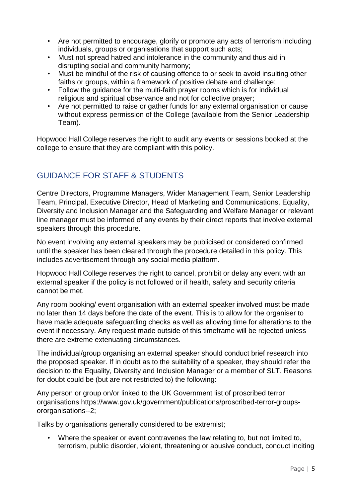- Are not permitted to encourage, glorify or promote any acts of terrorism including individuals, groups or organisations that support such acts;
- Must not spread hatred and intolerance in the community and thus aid in disrupting social and community harmony;
- Must be mindful of the risk of causing offence to or seek to avoid insulting other faiths or groups, within a framework of positive debate and challenge;
- Follow the guidance for the multi-faith prayer rooms which is for individual religious and spiritual observance and not for collective prayer;
- Are not permitted to raise or gather funds for any external organisation or cause without express permission of the College (available from the Senior Leadership Team).

Hopwood Hall College reserves the right to audit any events or sessions booked at the college to ensure that they are compliant with this policy.

#### <span id="page-4-0"></span>GUIDANCE FOR STAFF & STUDENTS

Centre Directors, Programme Managers, Wider Management Team, Senior Leadership Team, Principal, Executive Director, Head of Marketing and Communications, Equality, Diversity and Inclusion Manager and the Safeguarding and Welfare Manager or relevant line manager must be informed of any events by their direct reports that involve external speakers through this procedure.

No event involving any external speakers may be publicised or considered confirmed until the speaker has been cleared through the procedure detailed in this policy. This includes advertisement through any social media platform.

Hopwood Hall College reserves the right to cancel, prohibit or delay any event with an external speaker if the policy is not followed or if health, safety and security criteria cannot be met.

Any room booking/ event organisation with an external speaker involved must be made no later than 14 days before the date of the event. This is to allow for the organiser to have made adequate safeguarding checks as well as allowing time for alterations to the event if necessary. Any request made outside of this timeframe will be rejected unless there are extreme extenuating circumstances.

The individual/group organising an external speaker should conduct brief research into the proposed speaker. If in doubt as to the suitability of a speaker, they should refer the decision to the Equality, Diversity and Inclusion Manager or a member of SLT. Reasons for doubt could be (but are not restricted to) the following:

Any person or group on/or linked to the UK Government list of proscribed terror organisations https://www.gov.uk/government/publications/proscribed-terror-groupsororganisations--2;

Talks by organisations generally considered to be extremist;

• Where the speaker or event contravenes the law relating to, but not limited to, terrorism, public disorder, violent, threatening or abusive conduct, conduct inciting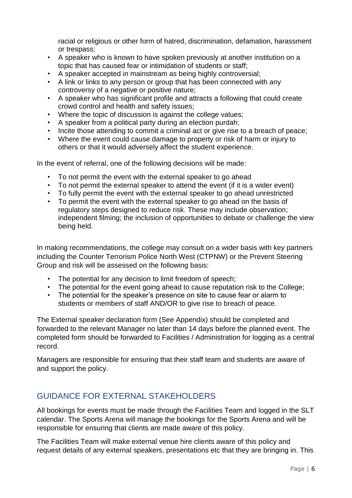racial or religious or other form of hatred, discrimination, defamation, harassment or trespass;

- A speaker who is known to have spoken previously at another institution on a topic that has caused fear or intimidation of students or staff;
- A speaker accepted in mainstream as being highly controversial;
- A link or links to any person or group that has been connected with any controversy of a negative or positive nature;
- A speaker who has significant profile and attracts a following that could create crowd control and health and safety issues;
- Where the topic of discussion is against the college values;
- A speaker from a political party during an election purdah;
- Incite those attending to commit a criminal act or give rise to a breach of peace;
- Where the event could cause damage to property or risk of harm or injury to others or that it would adversely affect the student experience.

In the event of referral, one of the following decisions will be made:

- To not permit the event with the external speaker to go ahead
- To not permit the external speaker to attend the event (if it is a wider event)
- To fully permit the event with the external speaker to go ahead unrestricted
- To permit the event with the external speaker to go ahead on the basis of regulatory steps designed to reduce risk. These may include observation; independent filming; the inclusion of opportunities to debate or challenge the view being held.

In making recommendations, the college may consult on a wider basis with key partners including the Counter Terrorism Police North West (CTPNW) or the Prevent Steering Group and risk will be assessed on the following basis:

- The potential for any decision to limit freedom of speech;
- The potential for the event going ahead to cause reputation risk to the College;
- The potential for the speaker's presence on site to cause fear or alarm to students or members of staff AND/OR to give rise to breach of peace.

The External speaker declaration form (See Appendix) should be completed and forwarded to the relevant Manager no later than 14 days before the planned event. The completed form should be forwarded to Facilities / Administration for logging as a central record.

Managers are responsible for ensuring that their staff team and students are aware of and support the policy.

#### GUIDANCE FOR EXTERNAL STAKEHOLDERS

All bookings for events must be made through the Facilities Team and logged in the SLT calendar. The Sports Arena will manage the bookings for the Sports Arena and will be responsible for ensuring that clients are made aware of this policy.

The Facilities Team will make external venue hire clients aware of this policy and request details of any external speakers, presentations etc that they are bringing in. This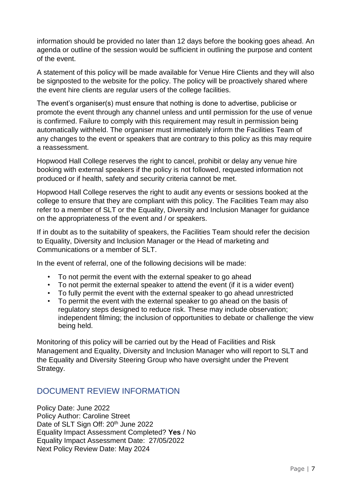information should be provided no later than 12 days before the booking goes ahead. An agenda or outline of the session would be sufficient in outlining the purpose and content of the event.

A statement of this policy will be made available for Venue Hire Clients and they will also be signposted to the website for the policy. The policy will be proactively shared where the event hire clients are regular users of the college facilities.

The event's organiser(s) must ensure that nothing is done to advertise, publicise or promote the event through any channel unless and until permission for the use of venue is confirmed. Failure to comply with this requirement may result in permission being automatically withheld. The organiser must immediately inform the Facilities Team of any changes to the event or speakers that are contrary to this policy as this may require a reassessment.

Hopwood Hall College reserves the right to cancel, prohibit or delay any venue hire booking with external speakers if the policy is not followed, requested information not produced or if health, safety and security criteria cannot be met.

Hopwood Hall College reserves the right to audit any events or sessions booked at the college to ensure that they are compliant with this policy. The Facilities Team may also refer to a member of SLT or the Equality, Diversity and Inclusion Manager for guidance on the appropriateness of the event and / or speakers.

If in doubt as to the suitability of speakers, the Facilities Team should refer the decision to Equality, Diversity and Inclusion Manager or the Head of marketing and Communications or a member of SLT.

In the event of referral, one of the following decisions will be made:

- To not permit the event with the external speaker to go ahead
- To not permit the external speaker to attend the event (if it is a wider event)
- To fully permit the event with the external speaker to go ahead unrestricted
- To permit the event with the external speaker to go ahead on the basis of regulatory steps designed to reduce risk. These may include observation; independent filming; the inclusion of opportunities to debate or challenge the view being held.

Monitoring of this policy will be carried out by the Head of Facilities and Risk Management and Equality, Diversity and Inclusion Manager who will report to SLT and the Equality and Diversity Steering Group who have oversight under the Prevent Strategy.

#### <span id="page-6-0"></span>DOCUMENT REVIEW INFORMATION

Policy Date: June 2022 Policy Author: Caroline Street Date of SLT Sign Off: 20<sup>th</sup> June 2022 Equality Impact Assessment Completed? **Yes** / No Equality Impact Assessment Date: 27/05/2022 Next Policy Review Date: May 2024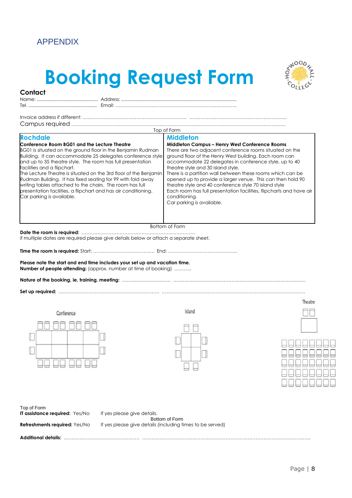#### <span id="page-7-0"></span>APPENDIX

**Contact**

# **Booking Request Form**



| Email:                                                                                                                                                                                                                                                                                                                                                                                                                                                                                                                                                               |                                                                                                                                                                                                                                                                                                                                                                                                                                                                                                                                                                                      |
|----------------------------------------------------------------------------------------------------------------------------------------------------------------------------------------------------------------------------------------------------------------------------------------------------------------------------------------------------------------------------------------------------------------------------------------------------------------------------------------------------------------------------------------------------------------------|--------------------------------------------------------------------------------------------------------------------------------------------------------------------------------------------------------------------------------------------------------------------------------------------------------------------------------------------------------------------------------------------------------------------------------------------------------------------------------------------------------------------------------------------------------------------------------------|
|                                                                                                                                                                                                                                                                                                                                                                                                                                                                                                                                                                      | Top of Form                                                                                                                                                                                                                                                                                                                                                                                                                                                                                                                                                                          |
| <b>Rochdale</b>                                                                                                                                                                                                                                                                                                                                                                                                                                                                                                                                                      | <b>Middleton</b>                                                                                                                                                                                                                                                                                                                                                                                                                                                                                                                                                                     |
| Conference Room BG01 and the Lecture Theatre<br>BG01 is situated on the ground floor in the Benjamin Rudman<br>Building. It can accommodate 25 delegates conference style<br>and up to 35 theatre style. The room has full presentation<br>facilities and a flipchart.<br>The Lecture Theatre is situated on the 3rd floor of the Benjamin<br>Rudman Building. It has fixed seating for 99 with fold away<br>writing tables attached to the chairs. The room has full<br>presentation facilities, a flipchart and has air conditioning.<br>Car parking is available. | <b>Middleton Campus - Henry West Conference Rooms</b><br>There are two adjacent conference rooms situated on the<br>ground floor of the Henry West building. Each room can<br>accommodate 22 delegates in conference style, up to 40<br>theatre style and 30 island style.<br>There is a partition wall between these rooms which can be<br>opened up to provide a larger venue. This can then hold 90<br>theatre style and 40 conference style 70 island style<br>Each room has full presentation facilities, flipcharts and have air<br>conditioning.<br>Car parking is available. |
|                                                                                                                                                                                                                                                                                                                                                                                                                                                                                                                                                                      | Bottom of Form                                                                                                                                                                                                                                                                                                                                                                                                                                                                                                                                                                       |

**Date the room is required:** ……………………………………………………………… if multiple dates are required please give details below or attach a separate sheet.

**Time the room is required:** Start: ………………………………… End: ……………………………………..

**Please note the start and end time includes your set up and vacation time. Number of people attending:** (approx. number at time of booking) ………..

**Nature of the booking, ie, training, meeting:** …………………………. …………………………………………………………………………

**Set up required:** ………………………………………………………. ……………………………………………………………………………….

|  | Conference |  |  |
|--|------------|--|--|
|  |            |  |  |
|  |            |  |  |
|  |            |  |  |
|  |            |  |  |



|   | I | K. |   |
|---|---|----|---|
| ì |   |    |   |
|   |   |    |   |
|   |   |    |   |
| ٦ |   |    | l |

Theatre



| Top of Form                           |                                                           |
|---------------------------------------|-----------------------------------------------------------|
| <b>IT assistance required: Yes/No</b> | If yes please give details.                               |
|                                       | Bottom of Form                                            |
| <b>Refreshments required:</b> Yes/No  | If yes please give details (including times to be served) |
| Additional details:                   |                                                           |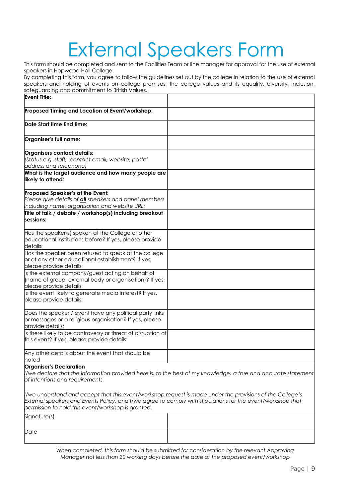# External Speakers Form

This form should be completed and sent to the Facilities Team or line manager for approval for the use of external speakers in Hopwood Hall College.

By completing this form, you agree to follow the guidelines set out by the college in relation to the use of external speakers and holding of events on college premises, the college values and its equality, diversity, inclusion, safeguarding and commitment to British Values.

| <b>Event Title:</b>                                                                                                                               |                                                                                                               |
|---------------------------------------------------------------------------------------------------------------------------------------------------|---------------------------------------------------------------------------------------------------------------|
| Proposed Timing and Location of Event/workshop:                                                                                                   |                                                                                                               |
| Date Start time End time:                                                                                                                         |                                                                                                               |
| Organiser's full name:                                                                                                                            |                                                                                                               |
| Organisers contact details:<br>(Status e.g. staff; contact email, website, postal<br>address and telephone)                                       |                                                                                                               |
| What is the target audience and how many people are<br>likely to attend:                                                                          |                                                                                                               |
| Proposed Speaker's at the Event:<br>Please give details of <b>all</b> speakers and panel members<br>including name, organisation and website URL: |                                                                                                               |
| Title of talk / debate / workshop(s) including breakout<br>sessions:                                                                              |                                                                                                               |
| Has the speaker(s) spoken at the College or other<br>educational institutions before? If yes, please provide<br>details:                          |                                                                                                               |
| Has the speaker been refused to speak at the college<br>or at any other educational establishment? If yes,<br>please provide details:             |                                                                                                               |
| Is the external company/guest acting on behalf of<br>(name of group, external body or organisation)? If yes,<br>please provide details:           |                                                                                                               |
| Is the event likely to generate media interest? If yes,<br>please provide details:                                                                |                                                                                                               |
| Does the speaker / event have any political party links<br>or messages or a religious organisation? If yes, please<br>provide details:            |                                                                                                               |
| Is there likely to be controversy or threat of disruption at<br>this event? If yes, please provide details:                                       |                                                                                                               |
| Any other details about the event that should be<br>noted                                                                                         |                                                                                                               |
| <b>Organiser's Declaration</b>                                                                                                                    | Vwe declare that the information provided here is, to the best of my knowledge, a true and accurate statement |

*of intentions and requirements.*

*I/we understand and accept that this event/workshop request is made under the provisions of the College's External speakers and Events Policy, and I/we agree to comply with stipulations for the event/workshop that permission to hold this event/workshop is granted.*

| Signature(s) |  |
|--------------|--|
| Date         |  |

*When completed, this form should be submitted for consideration by the relevant Approving Manager not less than 20 working days before the date of the proposed event/workshop*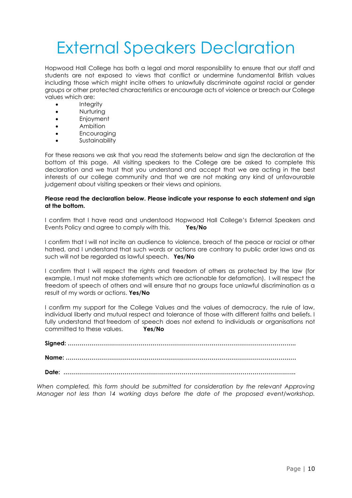## External Speakers Declaration

Hopwood Hall College has both a legal and moral responsibility to ensure that our staff and students are not exposed to views that conflict or undermine fundamental British values including those which might incite others to unlawfully discriminate against racial or gender groups or other protected characteristics or encourage acts of violence or breach our College values which are:

- **Integrity**
- Nurturing
- Enjoyment
- Ambition
- Encouraging
- Sustainability

For these reasons we ask that you read the statements below and sign the declaration at the bottom of this page. All visiting speakers to the College are be asked to complete this declaration and we trust that you understand and accept that we are acting in the best interests of our college community and that we are not making any kind of unfavourable judgement about visiting speakers or their views and opinions.

#### **Please read the declaration below. Please indicate your response to each statement and sign at the bottom.**

I confirm that I have read and understood Hopwood Hall College's External Speakers and Events Policy and agree to comply with this. **Yes/No**

I confirm that I will not incite an audience to violence, breach of the peace or racial or other hatred, and I understand that such words or actions are contrary to public order laws and as such will not be regarded as lawful speech. **Yes/No**

I confirm that I will respect the rights and freedom of others as protected by the law (for example, I must not make statements which are actionable for defamation). I will respect the freedom of speech of others and will ensure that no groups face unlawful discrimination as a result of my words or actions. **Yes/No**

I confirm my support for the College Values and the values of democracy, the rule of law, individual liberty and mutual respect and tolerance of those with different faiths and beliefs. I fully understand that freedom of speech does not extend to individuals or organisations not committed to these values. **Yes/No**

**Signed: …………………………………………………………………………………………………….. Name: ………………………………………………………………………………………………………**

**Date: ……………………………………………………………………………………………………….**

*When completed, this form should be submitted for consideration by the relevant Approving Manager not less than 14 working days before the date of the proposed event/workshop.*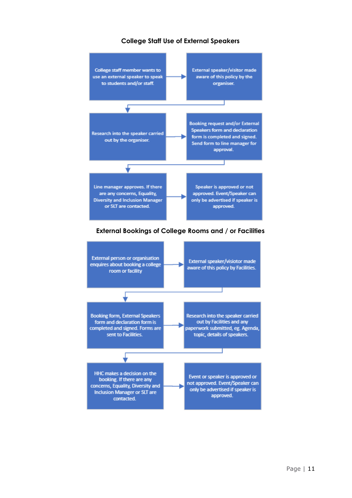#### **College Staff Use of External Speakers**